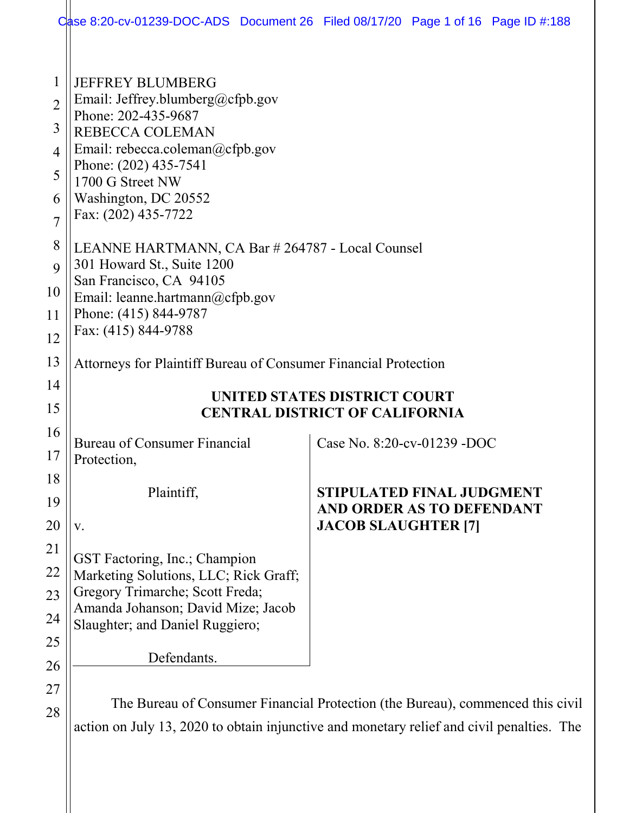|                                                           | Case 8:20-cv-01239-DOC-ADS Document 26 Filed 08/17/20 Page 1 of 16 Page ID #:188                                                                                                                                                     |                                                                                             |  |  |  |  |
|-----------------------------------------------------------|--------------------------------------------------------------------------------------------------------------------------------------------------------------------------------------------------------------------------------------|---------------------------------------------------------------------------------------------|--|--|--|--|
| 1<br>$\overline{2}$<br>3<br>4<br>5<br>6<br>$\overline{7}$ | <b>JEFFREY BLUMBERG</b><br>Email: Jeffrey.blumberg@cfpb.gov<br>Phone: 202-435-9687<br>REBECCA COLEMAN<br>Email: rebecca.coleman@cfpb.gov<br>Phone: (202) 435-7541<br>1700 G Street NW<br>Washington, DC 20552<br>Fax: (202) 435-7722 |                                                                                             |  |  |  |  |
| 8<br>9                                                    | LEANNE HARTMANN, CA Bar # 264787 - Local Counsel<br>301 Howard St., Suite 1200                                                                                                                                                       |                                                                                             |  |  |  |  |
| 10<br>11<br>12                                            | San Francisco, CA 94105<br>Email: leanne.hartmann@cfpb.gov<br>Phone: (415) 844-9787<br>Fax: (415) 844-9788                                                                                                                           |                                                                                             |  |  |  |  |
| 13                                                        | Attorneys for Plaintiff Bureau of Consumer Financial Protection                                                                                                                                                                      |                                                                                             |  |  |  |  |
| 14<br>15                                                  | UNITED STATES DISTRICT COURT<br><b>CENTRAL DISTRICT OF CALIFORNIA</b>                                                                                                                                                                |                                                                                             |  |  |  |  |
| 16<br>17                                                  | <b>Bureau of Consumer Financial</b><br>Protection,                                                                                                                                                                                   | Case No. 8:20-cv-01239 -DOC                                                                 |  |  |  |  |
| 18<br>19<br>20                                            | Plaintiff,<br>V.                                                                                                                                                                                                                     | <b>STIPULATED FINAL JUDGMENT</b><br>AND ORDER AS TO DEFENDANT<br><b>JACOB SLAUGHTER [7]</b> |  |  |  |  |
| 21<br>22<br>23<br>24<br>25                                | GST Factoring, Inc.; Champion<br>Marketing Solutions, LLC; Rick Graff;<br>Gregory Trimarche; Scott Freda;<br>Amanda Johanson; David Mize; Jacob<br>Slaughter; and Daniel Ruggiero;                                                   |                                                                                             |  |  |  |  |
| 26                                                        | Defendants.                                                                                                                                                                                                                          |                                                                                             |  |  |  |  |
| 27<br>28                                                  | The Bureau of Consumer Financial Protection (the Bureau), commenced this civil<br>action on July 13, 2020 to obtain injunctive and monetary relief and civil penalties. The                                                          |                                                                                             |  |  |  |  |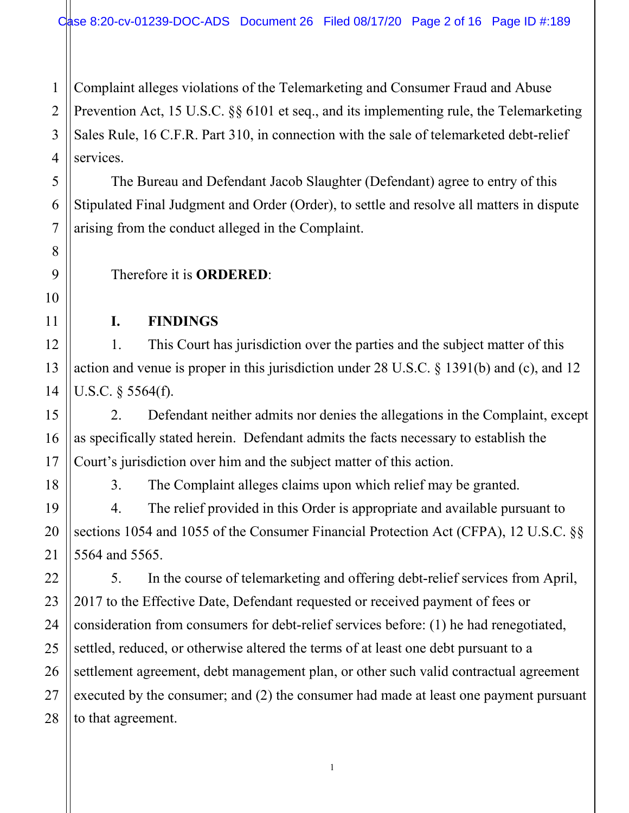1 2 Complaint alleges violations of the Telemarketing and Consumer Fraud and Abuse Prevention Act, 15 U.S.C. §§ 6101 et seq., and its implementing rule, the Telemarketing Sales Rule, 16 C.F.R. Part 310, in connection with the sale of telemarketed debt-relief services.

The Bureau and Defendant Jacob Slaughter (Defendant) agree to entry of this Stipulated Final Judgment and Order (Order), to settle and resolve all matters in dispute arising from the conduct alleged in the Complaint.

Therefore it is **ORDERED**:

#### **I. FINDINGS**

1. This Court has jurisdiction over the parties and the subject matter of this action and venue is proper in this jurisdiction under 28 U.S.C. § 1391(b) and (c), and 12 U.S.C. § 5564(f).

2. Defendant neither admits nor denies the allegations in the Complaint, except as specifically stated herein. Defendant admits the facts necessary to establish the Court's jurisdiction over him and the subject matter of this action.

3. The Complaint alleges claims upon which relief may be granted.

4. The relief provided in this Order is appropriate and available pursuant to sections 1054 and 1055 of the Consumer Financial Protection Act (CFPA), 12 U.S.C. §§ 5564 and 5565.

5. In the course of telemarketing and offering debt-relief services from April, 2017 to the Effective Date, Defendant requested or received payment of fees or consideration from consumers for debt-relief services before: (1) he had renegotiated, settled, reduced, or otherwise altered the terms of at least one debt pursuant to a settlement agreement, debt management plan, or other such valid contractual agreement executed by the consumer; and (2) the consumer had made at least one payment pursuant to that agreement.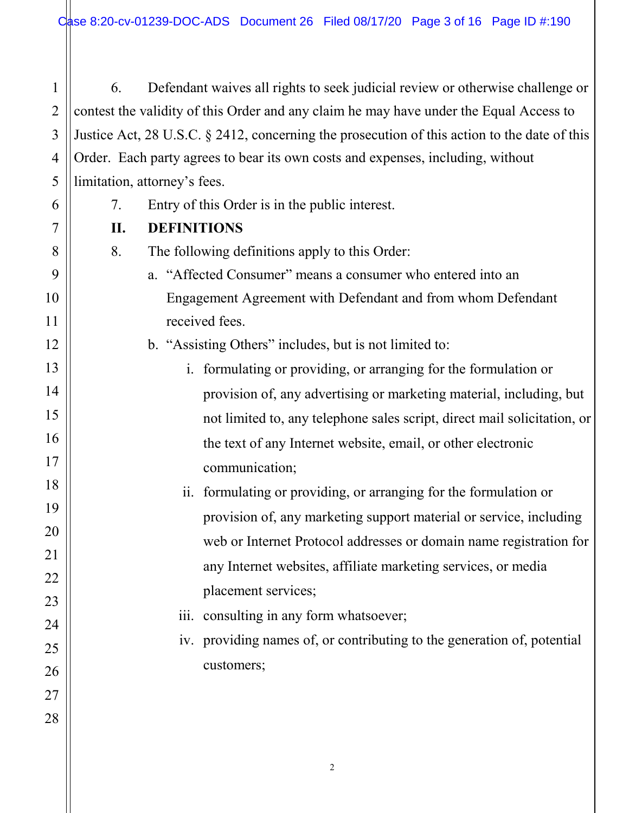1 2 3 4 5 6. Defendant waives all rights to seek judicial review or otherwise challenge or contest the validity of this Order and any claim he may have under the Equal Access to Justice Act, 28 U.S.C. § 2412, concerning the prosecution of this action to the date of this Order. Each party agrees to bear its own costs and expenses, including, without limitation, attorney's fees.

- 7. Entry of this Order is in the public interest.
- **II. DEFINITIONS**

8. The following definitions apply to this Order:

- a. "Affected Consumer" means a consumer who entered into an Engagement Agreement with Defendant and from whom Defendant received fees.
- b. "Assisting Others" includes, but is not limited to:
	- i. formulating or providing, or arranging for the formulation or provision of, any advertising or marketing material, including, but not limited to, any telephone sales script, direct mail solicitation, or the text of any Internet website, email, or other electronic communication;
	- ii. formulating or providing, or arranging for the formulation or provision of, any marketing support material or service, including web or Internet Protocol addresses or domain name registration for any Internet websites, affiliate marketing services, or media placement services;
	- iii. consulting in any form whatsoever;
	- iv. providing names of, or contributing to the generation of, potential customers;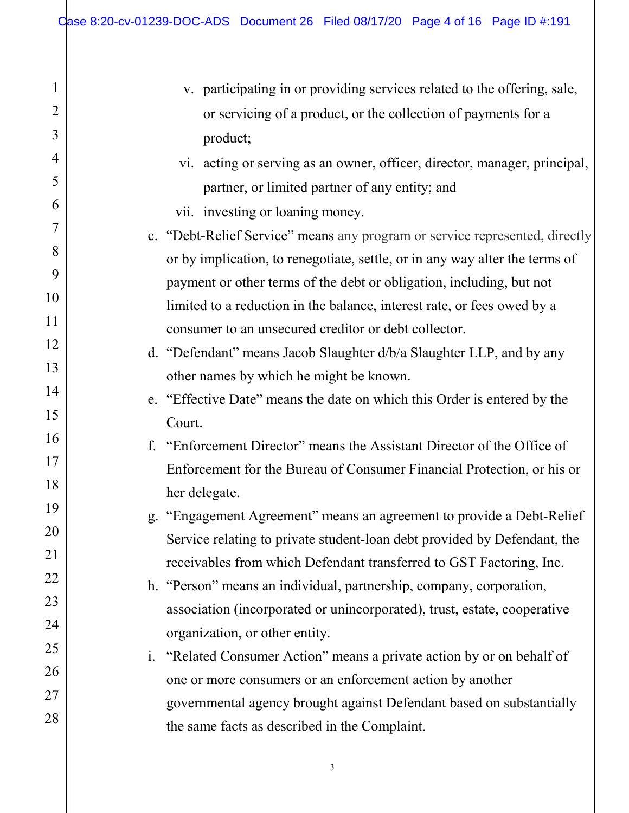1

 $\mathbf{I}$ 

2

3

4

5

6

7

8

9

10

11

12

13

14

15

16

17

18

19

20

21

22

23

24

25

26

27

28

|    | v. participating in or providing services related to the offering, sale,    |
|----|-----------------------------------------------------------------------------|
|    | or servicing of a product, or the collection of payments for a              |
|    | product;                                                                    |
|    | vi. acting or serving as an owner, officer, director, manager, principal,   |
|    | partner, or limited partner of any entity; and                              |
|    | vii. investing or loaning money.                                            |
|    | c. "Debt-Relief Service" means any program or service represented, directly |
|    | or by implication, to renegotiate, settle, or in any way alter the terms of |
|    | payment or other terms of the debt or obligation, including, but not        |
|    | limited to a reduction in the balance, interest rate, or fees owed by a     |
|    | consumer to an unsecured creditor or debt collector.                        |
|    | d. "Defendant" means Jacob Slaughter d/b/a Slaughter LLP, and by any        |
|    | other names by which he might be known.                                     |
|    | e. "Effective Date" means the date on which this Order is entered by the    |
|    | Court.                                                                      |
| f. | "Enforcement Director" means the Assistant Director of the Office of        |
|    | Enforcement for the Bureau of Consumer Financial Protection, or his or      |
|    | her delegate.                                                               |
|    | g. "Engagement Agreement" means an agreement to provide a Debt-Relief       |
|    | Service relating to private student-loan debt provided by Defendant, the    |
|    | receivables from which Defendant transferred to GST Factoring, Inc.         |
|    | h. "Person" means an individual, partnership, company, corporation,         |
|    | association (incorporated or unincorporated), trust, estate, cooperative    |
|    | organization, or other entity.                                              |
|    | i. "Related Consumer Action" means a private action by or on behalf of      |
|    | one or more consumers or an enforcement action by another                   |
|    | governmental agency brought against Defendant based on substantially        |
|    | the same facts as described in the Complaint.                               |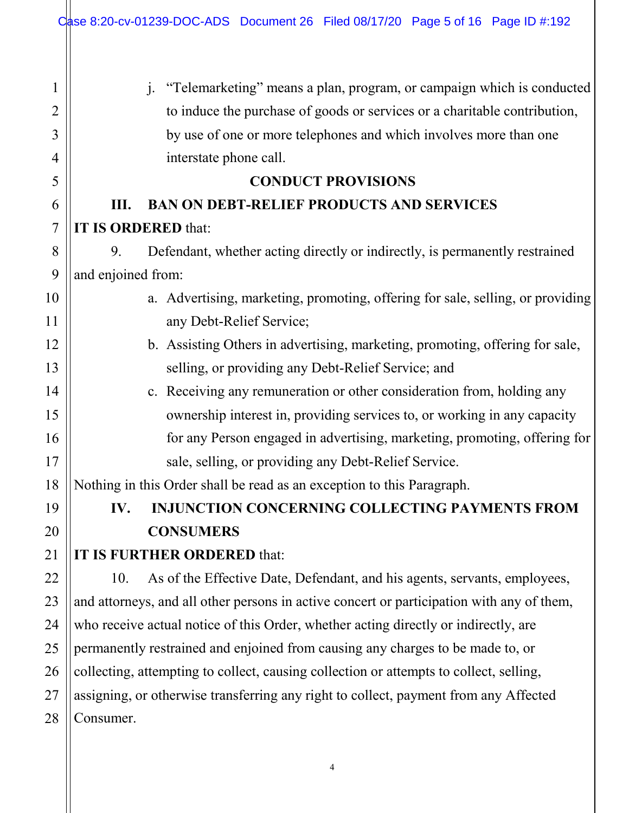H

| 1              | "Telemarketing" means a plan, program, or campaign which is conducted<br>$\mathbf{i}$ .   |
|----------------|-------------------------------------------------------------------------------------------|
| 2              | to induce the purchase of goods or services or a charitable contribution,                 |
| 3              | by use of one or more telephones and which involves more than one                         |
| 4              | interstate phone call.                                                                    |
| 5              | <b>CONDUCT PROVISIONS</b>                                                                 |
| 6              | <b>BAN ON DEBT-RELIEF PRODUCTS AND SERVICES</b><br>Ш.                                     |
| $\overline{7}$ | IT IS ORDERED that:                                                                       |
| 8              | Defendant, whether acting directly or indirectly, is permanently restrained<br>9.         |
| 9              | and enjoined from:                                                                        |
| 10             | a. Advertising, marketing, promoting, offering for sale, selling, or providing            |
| 11             | any Debt-Relief Service;                                                                  |
| 12             | b. Assisting Others in advertising, marketing, promoting, offering for sale,              |
| 13             | selling, or providing any Debt-Relief Service; and                                        |
| 14             | c. Receiving any remuneration or other consideration from, holding any                    |
| 15             | ownership interest in, providing services to, or working in any capacity                  |
| 16             | for any Person engaged in advertising, marketing, promoting, offering for                 |
| 17             | sale, selling, or providing any Debt-Relief Service.                                      |
| 18             | Nothing in this Order shall be read as an exception to this Paragraph.                    |
| 19             | <b>INJUNCTION CONCERNING COLLECTING PAYMENTS FROM</b><br>IV.                              |
| 20             | <b>CONSUMERS</b>                                                                          |
| 21             | IT IS FURTHER ORDERED that:                                                               |
| 22             | As of the Effective Date, Defendant, and his agents, servants, employees,<br>10.          |
| 23             | and attorneys, and all other persons in active concert or participation with any of them, |
| 24             | who receive actual notice of this Order, whether acting directly or indirectly, are       |
| 25             | permanently restrained and enjoined from causing any charges to be made to, or            |
| 26             | collecting, attempting to collect, causing collection or attempts to collect, selling,    |
| 27             | assigning, or otherwise transferring any right to collect, payment from any Affected      |
| 28             | Consumer.                                                                                 |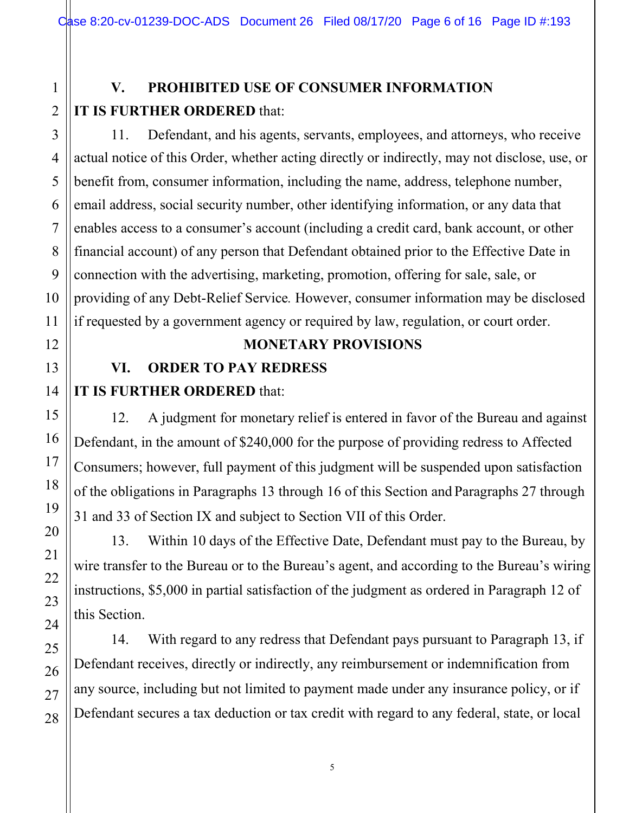# **V. PROHIBITED USE OF CONSUMER INFORMATION IT IS FURTHER ORDERED** that:

11. Defendant, and his agents, servants, employees, and attorneys, who receive actual notice of this Order, whether acting directly or indirectly, may not disclose, use, or benefit from, consumer information, including the name, address, telephone number, email address, social security number, other identifying information, or any data that enables access to a consumer's account (including a credit card, bank account, or other financial account) of any person that Defendant obtained prior to the Effective Date in connection with the advertising, marketing, promotion, offering for sale, sale, or providing of any Debt-Relief Service*.* However, consumer information may be disclosed if requested by a government agency or required by law, regulation, or court order.

#### **MONETARY PROVISIONS**

# **VI. ORDER TO PAY REDRESS**

### **IT IS FURTHER ORDERED** that:

12. A judgment for monetary relief is entered in favor of the Bureau and against Defendant, in the amount of \$240,000 for the purpose of providing redress to Affected Consumers; however, full payment of this judgment will be suspended upon satisfaction of the obligations in Paragraphs 13 through 16 of this Section and Paragraphs 27 through 31 and 33 of Section IX and subject to Section VII of this Order.

13. Within 10 days of the Effective Date, Defendant must pay to the Bureau, by wire transfer to the Bureau or to the Bureau's agent, and according to the Bureau's wiring instructions, \$5,000 in partial satisfaction of the judgment as ordered in Paragraph 12 of this Section.

14. With regard to any redress that Defendant pays pursuant to Paragraph 13, if Defendant receives, directly or indirectly, any reimbursement or indemnification from any source, including but not limited to payment made under any insurance policy, or if Defendant secures a tax deduction or tax credit with regard to any federal, state, or local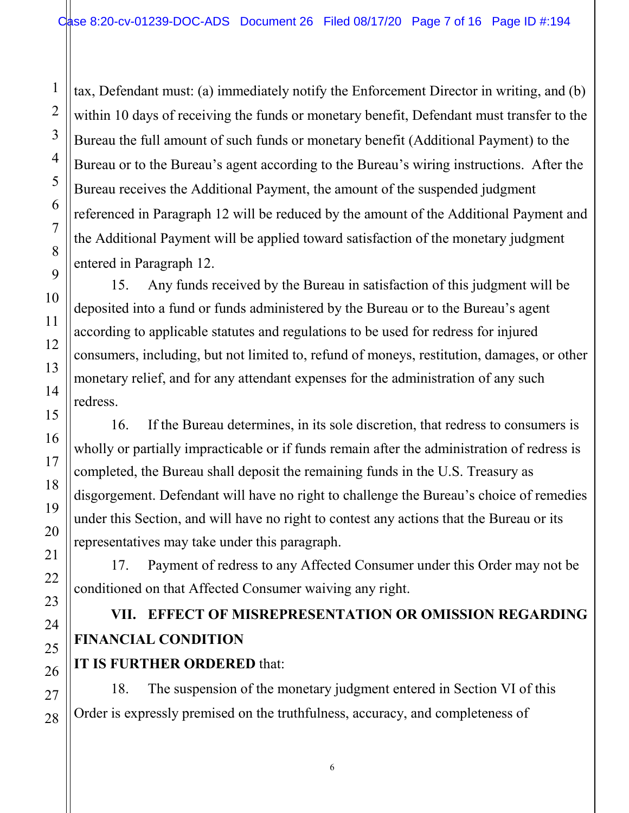tax, Defendant must: (a) immediately notify the Enforcement Director in writing, and (b) within 10 days of receiving the funds or monetary benefit, Defendant must transfer to the Bureau the full amount of such funds or monetary benefit (Additional Payment) to the Bureau or to the Bureau's agent according to the Bureau's wiring instructions. After the Bureau receives the Additional Payment, the amount of the suspended judgment referenced in Paragraph 12 will be reduced by the amount of the Additional Payment and the Additional Payment will be applied toward satisfaction of the monetary judgment entered in Paragraph 12.

15. Any funds received by the Bureau in satisfaction of this judgment will be deposited into a fund or funds administered by the Bureau or to the Bureau's agent according to applicable statutes and regulations to be used for redress for injured consumers, including, but not limited to, refund of moneys, restitution, damages, or other monetary relief, and for any attendant expenses for the administration of any such redress.

16. If the Bureau determines, in its sole discretion, that redress to consumers is wholly or partially impracticable or if funds remain after the administration of redress is completed, the Bureau shall deposit the remaining funds in the U.S. Treasury as disgorgement. Defendant will have no right to challenge the Bureau's choice of remedies under this Section, and will have no right to contest any actions that the Bureau or its representatives may take under this paragraph.

17. Payment of redress to any Affected Consumer under this Order may not be conditioned on that Affected Consumer waiving any right.

# **VII. EFFECT OF MISREPRESENTATION OR OMISSION REGARDING FINANCIAL CONDITION**

### **IT IS FURTHER ORDERED** that:

18. The suspension of the monetary judgment entered in Section VI of this Order is expressly premised on the truthfulness, accuracy, and completeness of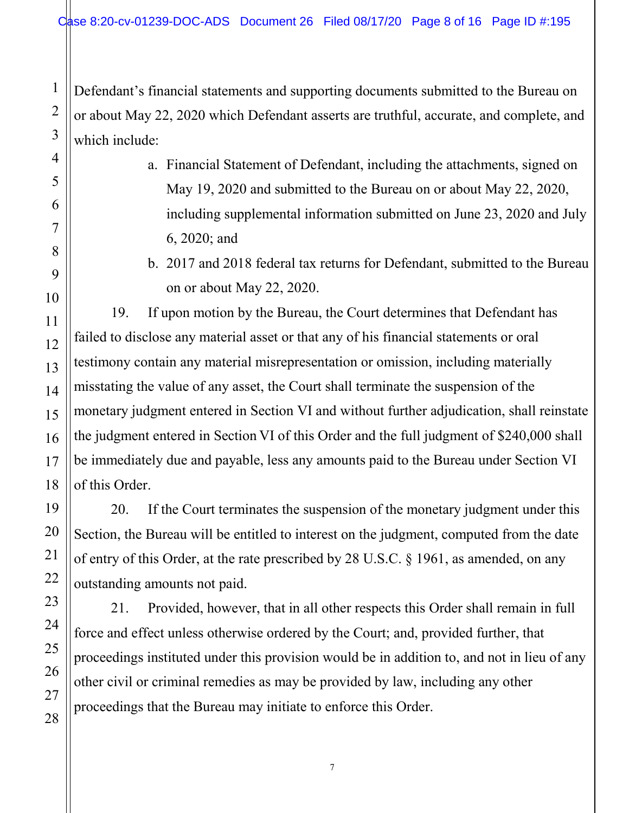Defendant's financial statements and supporting documents submitted to the Bureau on or about May 22, 2020 which Defendant asserts are truthful, accurate, and complete, and which include:

- a. Financial Statement of Defendant, including the attachments, signed on May 19, 2020 and submitted to the Bureau on or about May 22, 2020, including supplemental information submitted on June 23, 2020 and July 6, 2020; and
- b. 2017 and 2018 federal tax returns for Defendant, submitted to the Bureau on or about May 22, 2020.

19. If upon motion by the Bureau, the Court determines that Defendant has failed to disclose any material asset or that any of his financial statements or oral testimony contain any material misrepresentation or omission, including materially misstating the value of any asset, the Court shall terminate the suspension of the monetary judgment entered in Section VI and without further adjudication, shall reinstate the judgment entered in Section VI of this Order and the full judgment of \$240,000 shall be immediately due and payable, less any amounts paid to the Bureau under Section VI of this Order.

20. If the Court terminates the suspension of the monetary judgment under this Section, the Bureau will be entitled to interest on the judgment, computed from the date of entry of this Order, at the rate prescribed by 28 U.S.C. § 1961, as amended, on any outstanding amounts not paid.

21. Provided, however, that in all other respects this Order shall remain in full force and effect unless otherwise ordered by the Court; and, provided further, that proceedings instituted under this provision would be in addition to, and not in lieu of any other civil or criminal remedies as may be provided by law, including any other proceedings that the Bureau may initiate to enforce this Order.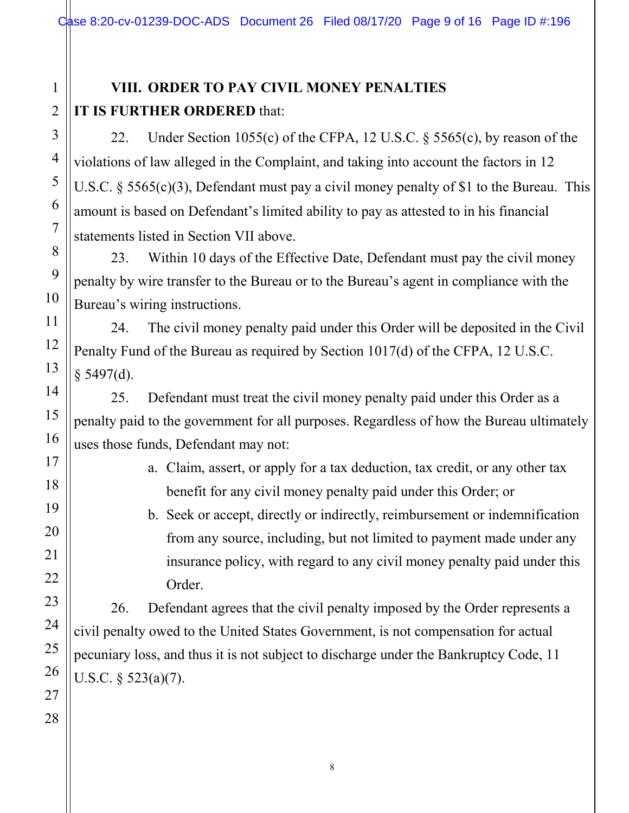# **VIII. ORDER TO PAY CIVIL MONEY PENALTIES IT IS FURTHER ORDERED** that:

22. Under Section 1055(c) of the CFPA, 12 U.S.C. § 5565(c), by reason of the violations of law alleged in the Complaint, and taking into account the factors in 12 U.S.C. § 5565(c)(3), Defendant must pay a civil money penalty of \$1 to the Bureau. This amount is based on Defendant's limited ability to pay as attested to in his financial statements listed in Section VII above.

23. Within 10 days of the Effective Date, Defendant must pay the civil money penalty by wire transfer to the Bureau or to the Bureau's agent in compliance with the Bureau's wiring instructions.

24. The civil money penalty paid under this Order will be deposited in the Civil Penalty Fund of the Bureau as required by Section 1017(d) of the CFPA, 12 U.S.C.  $§$  5497(d).

25. Defendant must treat the civil money penalty paid under this Order as a penalty paid to the government for all purposes. Regardless of how the Bureau ultimately uses those funds, Defendant may not:

> a. Claim, assert, or apply for a tax deduction, tax credit, or any other tax benefit for any civil money penalty paid under this Order; or

b. Seek or accept, directly or indirectly, reimbursement or indemnification from any source, including, but not limited to payment made under any insurance policy, with regard to any civil money penalty paid under this Order.

26. Defendant agrees that the civil penalty imposed by the Order represents a civil penalty owed to the United States Government, is not compensation for actual pecuniary loss, and thus it is not subject to discharge under the Bankruptcy Code, 11 U.S.C.  $\frac{523(a)}{7}$ .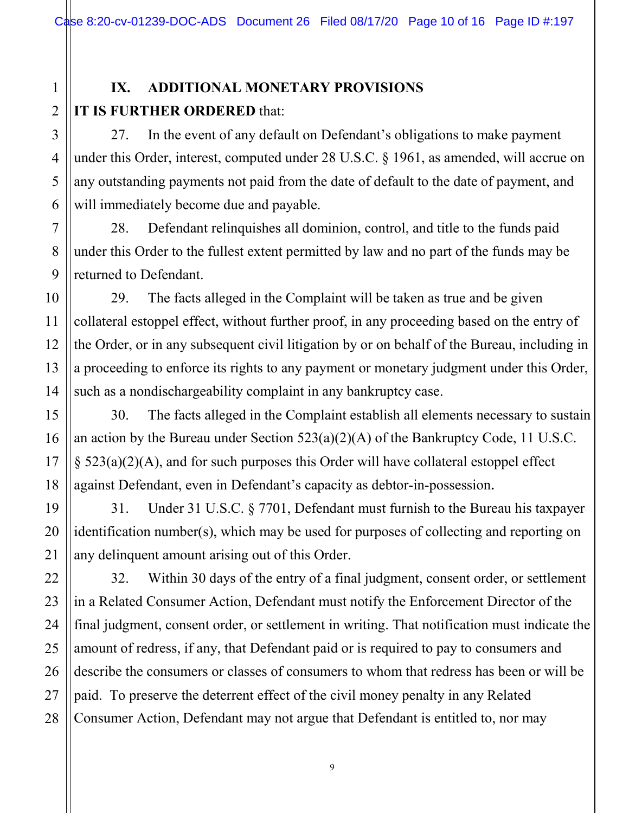# **IX. ADDITIONAL MONETARY PROVISIONS IT IS FURTHER ORDERED** that:

27. In the event of any default on Defendant's obligations to make payment under this Order, interest, computed under 28 U.S.C. § 1961, as amended, will accrue on any outstanding payments not paid from the date of default to the date of payment, and will immediately become due and payable.

28. Defendant relinquishes all dominion, control, and title to the funds paid under this Order to the fullest extent permitted by law and no part of the funds may be returned to Defendant.

29. The facts alleged in the Complaint will be taken as true and be given collateral estoppel effect, without further proof, in any proceeding based on the entry of the Order, or in any subsequent civil litigation by or on behalf of the Bureau, including in a proceeding to enforce its rights to any payment or monetary judgment under this Order, such as a nondischargeability complaint in any bankruptcy case.

30. The facts alleged in the Complaint establish all elements necessary to sustain an action by the Bureau under Section 523(a)(2)(A) of the Bankruptcy Code, 11 U.S.C. § 523(a)(2)(A), and for such purposes this Order will have collateral estoppel effect against Defendant, even in Defendant's capacity as debtor-in-possession.

31. Under 31 U.S.C. § 7701, Defendant must furnish to the Bureau his taxpayer identification number(s), which may be used for purposes of collecting and reporting on any delinquent amount arising out of this Order.

32. Within 30 days of the entry of a final judgment, consent order, or settlement in a Related Consumer Action, Defendant must notify the Enforcement Director of the final judgment, consent order, or settlement in writing. That notification must indicate the amount of redress, if any, that Defendant paid or is required to pay to consumers and describe the consumers or classes of consumers to whom that redress has been or will be paid. To preserve the deterrent effect of the civil money penalty in any Related Consumer Action, Defendant may not argue that Defendant is entitled to, nor may

1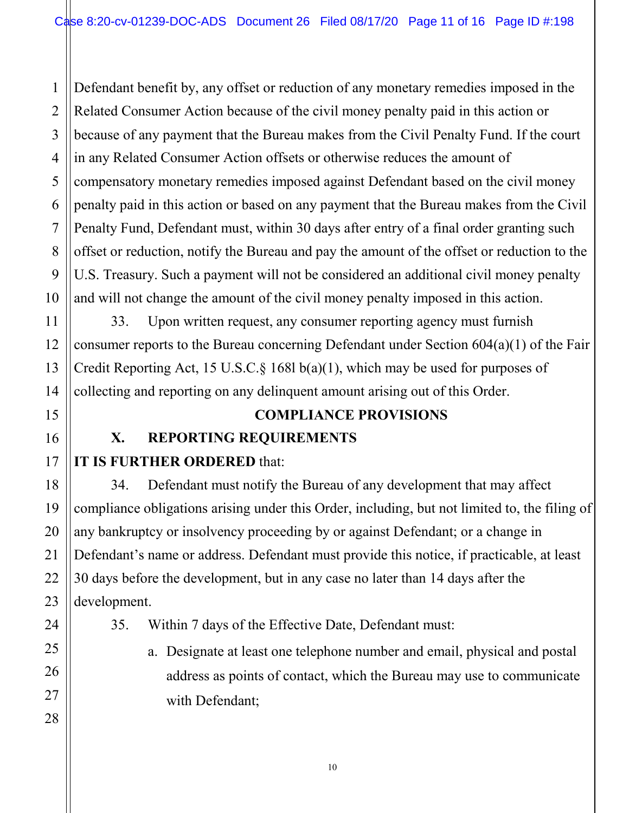1 2 Defendant benefit by, any offset or reduction of any monetary remedies imposed in the Related Consumer Action because of the civil money penalty paid in this action or because of any payment that the Bureau makes from the Civil Penalty Fund. If the court in any Related Consumer Action offsets or otherwise reduces the amount of compensatory monetary remedies imposed against Defendant based on the civil money penalty paid in this action or based on any payment that the Bureau makes from the Civil Penalty Fund, Defendant must, within 30 days after entry of a final order granting such offset or reduction, notify the Bureau and pay the amount of the offset or reduction to the U.S. Treasury. Such a payment will not be considered an additional civil money penalty and will not change the amount of the civil money penalty imposed in this action.

33. Upon written request, any consumer reporting agency must furnish consumer reports to the Bureau concerning Defendant under Section 604(a)(1) of the Fair Credit Reporting Act, 15 U.S.C.§ 168l b(a)(1), which may be used for purposes of collecting and reporting on any delinquent amount arising out of this Order.

### **COMPLIANCE PROVISIONS**

### **X. REPORTING REQUIREMENTS**

# **IT IS FURTHER ORDERED** that:

34. Defendant must notify the Bureau of any development that may affect compliance obligations arising under this Order, including, but not limited to, the filing of any bankruptcy or insolvency proceeding by or against Defendant; or a change in Defendant's name or address. Defendant must provide this notice, if practicable, at least 30 days before the development, but in any case no later than 14 days after the development.

- 35. Within 7 days of the Effective Date, Defendant must:
	- a. Designate at least one telephone number and email, physical and postal address as points of contact, which the Bureau may use to communicate with Defendant;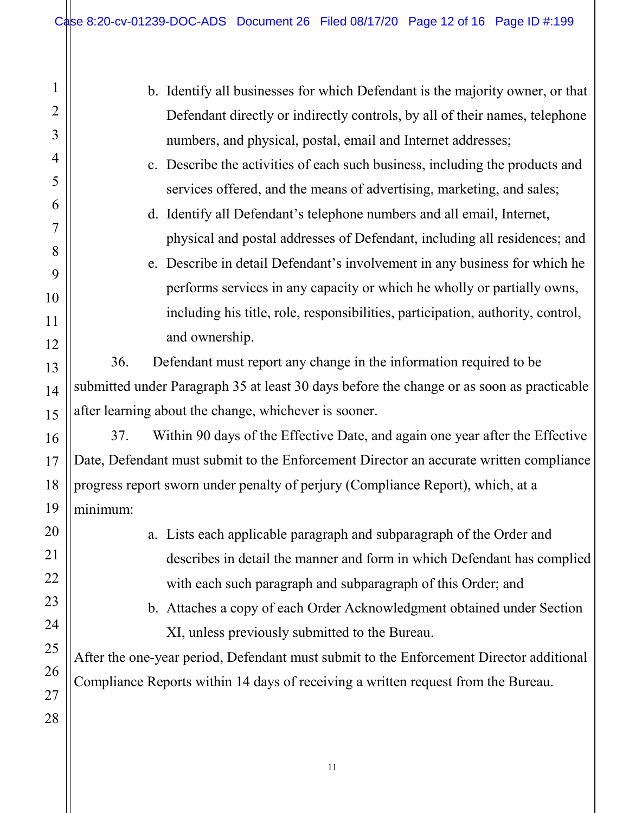$\mathbf{\mathsf{H}}$ 

| 1              | b. Identify all businesses for which Defendant is the majority owner, or that             |
|----------------|-------------------------------------------------------------------------------------------|
| $\overline{2}$ | Defendant directly or indirectly controls, by all of their names, telephone               |
| 3              | numbers, and physical, postal, email and Internet addresses;                              |
| 4              | c. Describe the activities of each such business, including the products and              |
| 5              | services offered, and the means of advertising, marketing, and sales;                     |
| 6              | d. Identify all Defendant's telephone numbers and all email, Internet,                    |
| 7              | physical and postal addresses of Defendant, including all residences; and                 |
| 8              | e. Describe in detail Defendant's involvement in any business for which he                |
| 9              | performs services in any capacity or which he wholly or partially owns,                   |
| 10             | including his title, role, responsibilities, participation, authority, control,           |
| 11<br>12       | and ownership.                                                                            |
| 13             | Defendant must report any change in the information required to be<br>36.                 |
| 14             | submitted under Paragraph 35 at least 30 days before the change or as soon as practicable |
| 15             | after learning about the change, whichever is sooner.                                     |
| 16             | Within 90 days of the Effective Date, and again one year after the Effective<br>37.       |
| 17             | Date, Defendant must submit to the Enforcement Director an accurate written compliance    |
| 18             | progress report sworn under penalty of perjury (Compliance Report), which, at a           |
| 19             | minimum:                                                                                  |
| 20             | a. Lists each applicable paragraph and subparagraph of the Order and                      |
| 21             | describes in detail the manner and form in which Defendant has complied                   |
| 22             | with each such paragraph and subparagraph of this Order; and                              |
| 23             | b. Attaches a copy of each Order Acknowledgment obtained under Section                    |
| 24             | XI, unless previously submitted to the Bureau.                                            |
| 25             | After the one-year period, Defendant must submit to the Enforcement Director additional   |
| 26             | Compliance Reports within 14 days of receiving a written request from the Bureau.         |
| 27             |                                                                                           |
| 28             |                                                                                           |
|                |                                                                                           |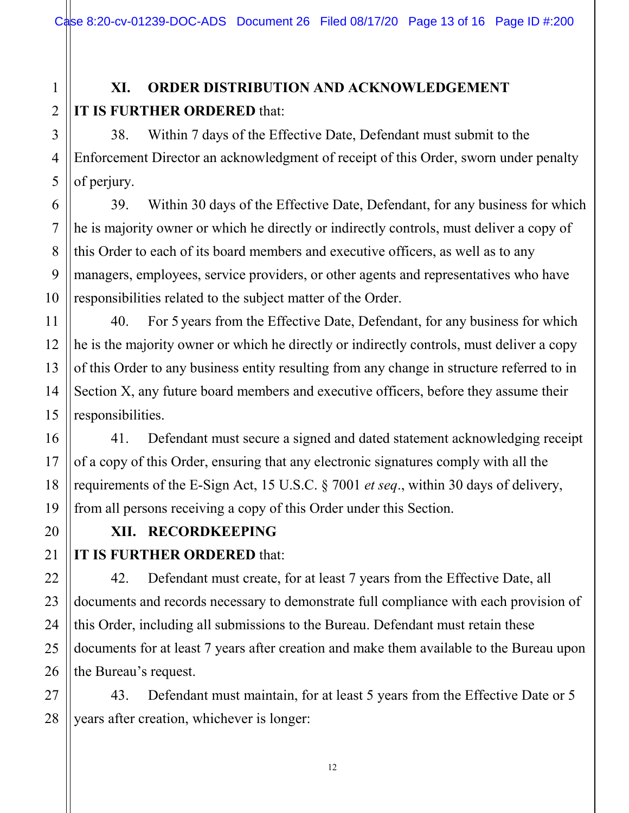# **XI. ORDER DISTRIBUTION AND ACKNOWLEDGEMENT IT IS FURTHER ORDERED** that:

38. Within 7 days of the Effective Date, Defendant must submit to the Enforcement Director an acknowledgment of receipt of this Order, sworn under penalty of perjury.

39. Within 30 days of the Effective Date, Defendant, for any business for which he is majority owner or which he directly or indirectly controls, must deliver a copy of this Order to each of its board members and executive officers, as well as to any managers, employees, service providers, or other agents and representatives who have responsibilities related to the subject matter of the Order.

40. For 5 years from the Effective Date, Defendant, for any business for which he is the majority owner or which he directly or indirectly controls, must deliver a copy of this Order to any business entity resulting from any change in structure referred to in Section X, any future board members and executive officers, before they assume their responsibilities.

41. Defendant must secure a signed and dated statement acknowledging receipt of a copy of this Order, ensuring that any electronic signatures comply with all the requirements of the E-Sign Act, 15 U.S.C. § 7001 *et seq*., within 30 days of delivery, from all persons receiving a copy of this Order under this Section.

**XII. RECORDKEEPING**

# **IT IS FURTHER ORDERED** that:

42. Defendant must create, for at least 7 years from the Effective Date, all documents and records necessary to demonstrate full compliance with each provision of this Order, including all submissions to the Bureau. Defendant must retain these documents for at least 7 years after creation and make them available to the Bureau upon the Bureau's request.

43. Defendant must maintain, for at least 5 years from the Effective Date or 5 years after creation, whichever is longer:

1

2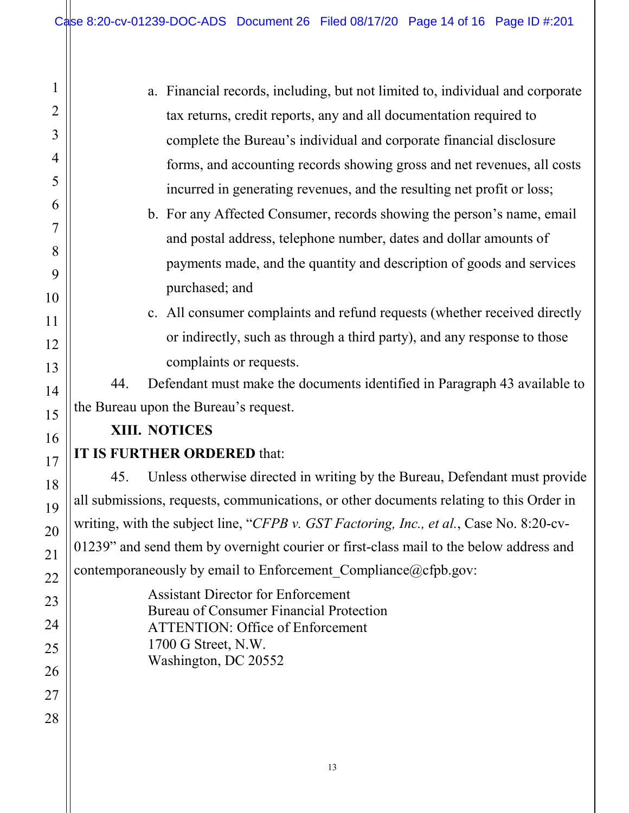| 1              | a. Financial records, including, but not limited to, individual and corporate               |  |
|----------------|---------------------------------------------------------------------------------------------|--|
| $\overline{2}$ | tax returns, credit reports, any and all documentation required to                          |  |
| 3              | complete the Bureau's individual and corporate financial disclosure                         |  |
| 4              | forms, and accounting records showing gross and net revenues, all costs                     |  |
| 5              | incurred in generating revenues, and the resulting net profit or loss;                      |  |
| 6              | b. For any Affected Consumer, records showing the person's name, email                      |  |
| 7              | and postal address, telephone number, dates and dollar amounts of                           |  |
| 8              | payments made, and the quantity and description of goods and services                       |  |
| 9              | purchased; and                                                                              |  |
| 10<br>11       | c. All consumer complaints and refund requests (whether received directly                   |  |
| 12             | or indirectly, such as through a third party), and any response to those                    |  |
| 13             | complaints or requests.                                                                     |  |
| 14             | Defendant must make the documents identified in Paragraph 43 available to<br>44.            |  |
| 15             | the Bureau upon the Bureau's request.                                                       |  |
| 16             | XIII. NOTICES                                                                               |  |
| 17             | IT IS FURTHER ORDERED that:                                                                 |  |
| 18             | Unless otherwise directed in writing by the Bureau, Defendant must provide<br>45.           |  |
| 19             | all submissions, requests, communications, or other documents relating to this Order in     |  |
| 20             | writing, with the subject line, "CFPB v. GST Factoring, Inc., et al., Case No. 8:20-cv-     |  |
| 21             | 01239" and send them by overnight courier or first-class mail to the below address and      |  |
| 22             | contemporaneously by email to Enforcement Compliance@cfpb.gov:                              |  |
| 23             | <b>Assistant Director for Enforcement</b><br><b>Bureau of Consumer Financial Protection</b> |  |
| 24             | <b>ATTENTION: Office of Enforcement</b>                                                     |  |
| 25             | 1700 G Street, N.W.<br>Washington, DC 20552                                                 |  |
| 26             |                                                                                             |  |
| 27             |                                                                                             |  |
| 28             |                                                                                             |  |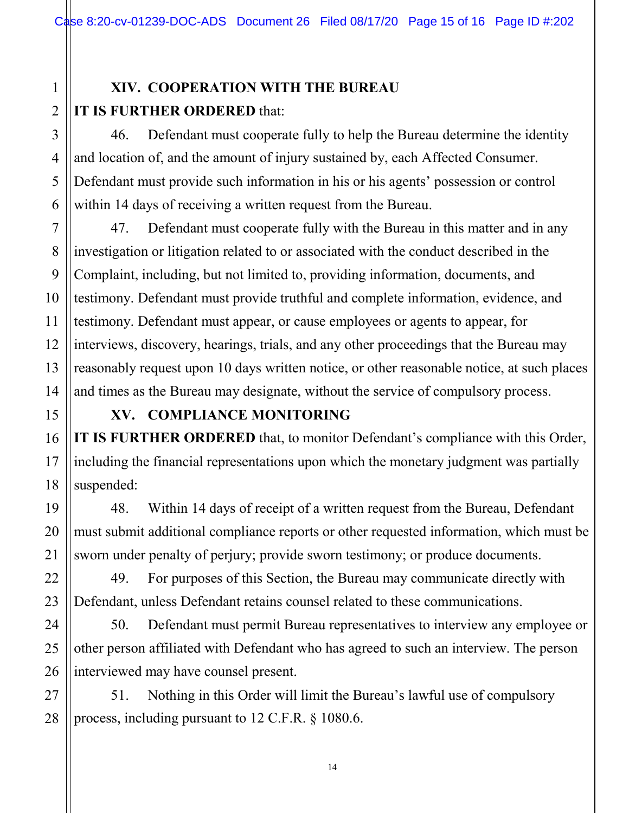# **XIV. COOPERATION WITH THE BUREAU IT IS FURTHER ORDERED** that:

46. Defendant must cooperate fully to help the Bureau determine the identity and location of, and the amount of injury sustained by, each Affected Consumer. Defendant must provide such information in his or his agents' possession or control within 14 days of receiving a written request from the Bureau.

47. Defendant must cooperate fully with the Bureau in this matter and in any investigation or litigation related to or associated with the conduct described in the Complaint, including, but not limited to, providing information, documents, and testimony. Defendant must provide truthful and complete information, evidence, and testimony. Defendant must appear, or cause employees or agents to appear, for interviews, discovery, hearings, trials, and any other proceedings that the Bureau may reasonably request upon 10 days written notice, or other reasonable notice, at such places and times as the Bureau may designate, without the service of compulsory process.

# **XV. COMPLIANCE MONITORING IT IS FURTHER ORDERED** that, to monitor Defendant's compliance with this Order, including the financial representations upon which the monetary judgment was partially suspended:

48. Within 14 days of receipt of a written request from the Bureau, Defendant must submit additional compliance reports or other requested information, which must be sworn under penalty of perjury; provide sworn testimony; or produce documents.

49. For purposes of this Section, the Bureau may communicate directly with Defendant, unless Defendant retains counsel related to these communications.

50. Defendant must permit Bureau representatives to interview any employee or other person affiliated with Defendant who has agreed to such an interview. The person interviewed may have counsel present.

51. Nothing in this Order will limit the Bureau's lawful use of compulsory process, including pursuant to 12 C.F.R. § 1080.6.